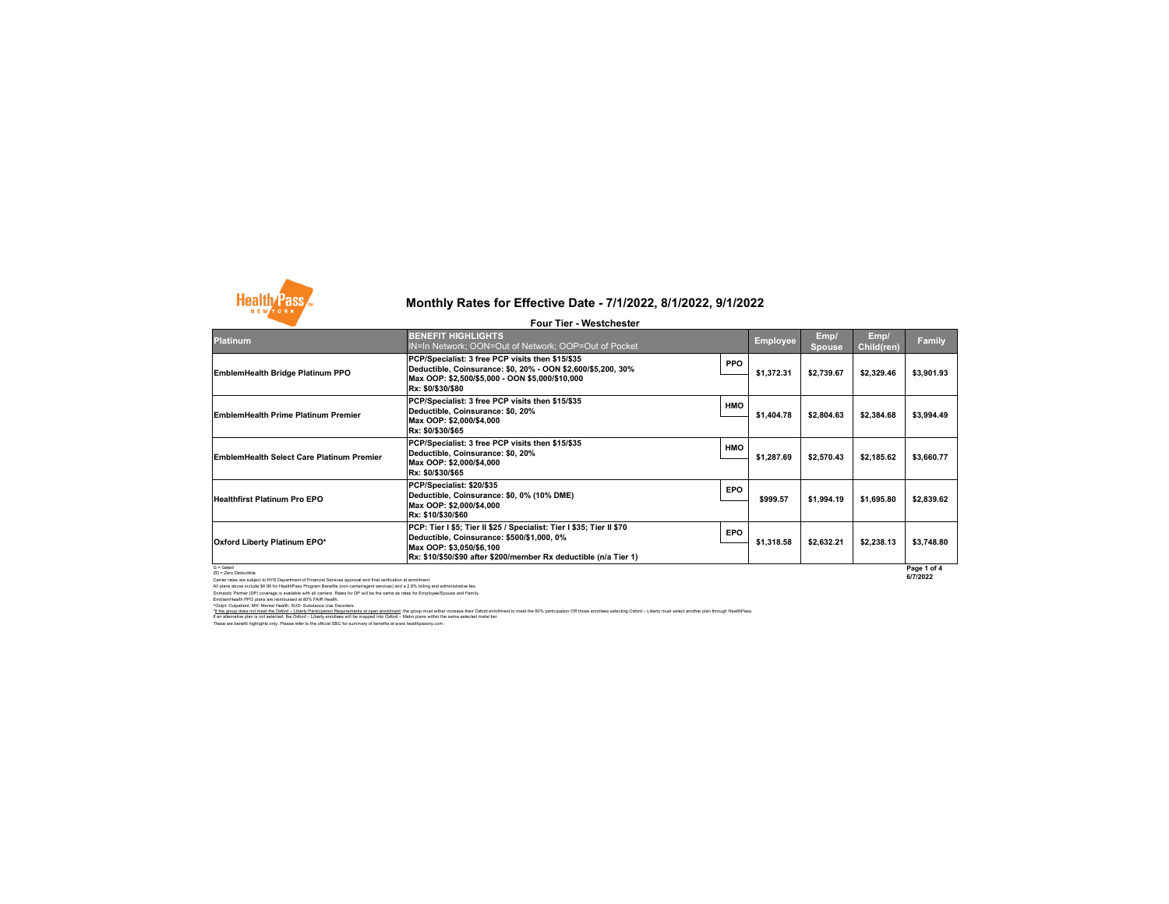

| <b>Four Tier - Westchester</b>            |                                                                                                                                                                                                                     |            |                 |                       |                    |             |
|-------------------------------------------|---------------------------------------------------------------------------------------------------------------------------------------------------------------------------------------------------------------------|------------|-----------------|-----------------------|--------------------|-------------|
| <b>Platinum</b>                           | <b>BENEFIT HIGHLIGHTS</b><br>IN=In Network; OON=Out of Network; OOP=Out of Pocket                                                                                                                                   |            | <b>Employee</b> | Emp/<br><b>Spouse</b> | Emp/<br>Child(ren) | Family      |
| EmblemHealth Bridge Platinum PPO          | PCP/Specialist: 3 free PCP visits then \$15/\$35<br>Deductible, Coinsurance: \$0, 20% - OON \$2,600/\$5,200, 30%<br>Max OOP: \$2,500/\$5,000 - OON \$5,000/\$10,000<br>Rx: \$0/\$30/\$80                            | <b>PPO</b> | \$1,372.31      | \$2,739.67            | \$2,329.46         | \$3,901.93  |
| EmblemHealth Prime Platinum Premier       | PCP/Specialist: 3 free PCP visits then \$15/\$35<br>Deductible, Coinsurance: \$0, 20%<br>Max OOP: \$2,000/\$4,000<br>Rx: \$0/\$30/\$65                                                                              | <b>HMO</b> | \$1,404.78      | \$2,804.63            | \$2,384.68         | \$3,994.49  |
| EmblemHealth Select Care Platinum Premier | PCP/Specialist: 3 free PCP visits then \$15/\$35<br>Deductible, Coinsurance: \$0, 20%<br>Max OOP: \$2,000/\$4,000<br>Rx: \$0/\$30/\$65                                                                              | <b>HMO</b> | \$1,287.69      | \$2,570.43            | \$2,185.62         | \$3,660.77  |
| Healthfirst Platinum Pro EPO              | PCP/Specialist: \$20/\$35<br>Deductible, Coinsurance: \$0, 0% (10% DME)<br>Max OOP: \$2,000/\$4,000<br>Rx: \$10/\$30/\$60                                                                                           | <b>EPO</b> | \$999.57        | \$1,994.19            | \$1,695.80         | \$2,839.62  |
| Oxford Liberty Platinum EPO*              | PCP: Tier I \$5; Tier II \$25 / Specialist: Tier I \$35; Tier II \$70<br>Deductible, Coinsurance: \$500/\$1,000, 0%<br>Max OOP: \$3,050/\$6,100<br>Rx: \$10/\$50/\$90 after \$200/member Rx deductible (n/a Tier 1) | <b>EPO</b> | \$1,318.58      | \$2,632.21            | \$2,238.13         | \$3,748.80  |
| $G =$ Gated<br><b>ZD - Zero Deductive</b> |                                                                                                                                                                                                                     |            |                 |                       |                    | Page 1 of 4 |

**Page 1 of 4 6/7/2022**

2D - Zero Deductitie<br>Cartier rates are subject to NYS Department of Financial Services approval and final verification at enrollment<br>All plans above include \$4.5 for HealthPass Program Benefits (non-carrierlagent services)

"<u>If the group does not meet the Odord – Liberty Participation Requirements at open enrolliment</u> the group must ether increase their of order on the fol% participation OR those enrollees selecting Odord – Liberty must sele

These are benefit highlights only. Please refer to the official SBC for summary of benefits at www.healthpassny.com.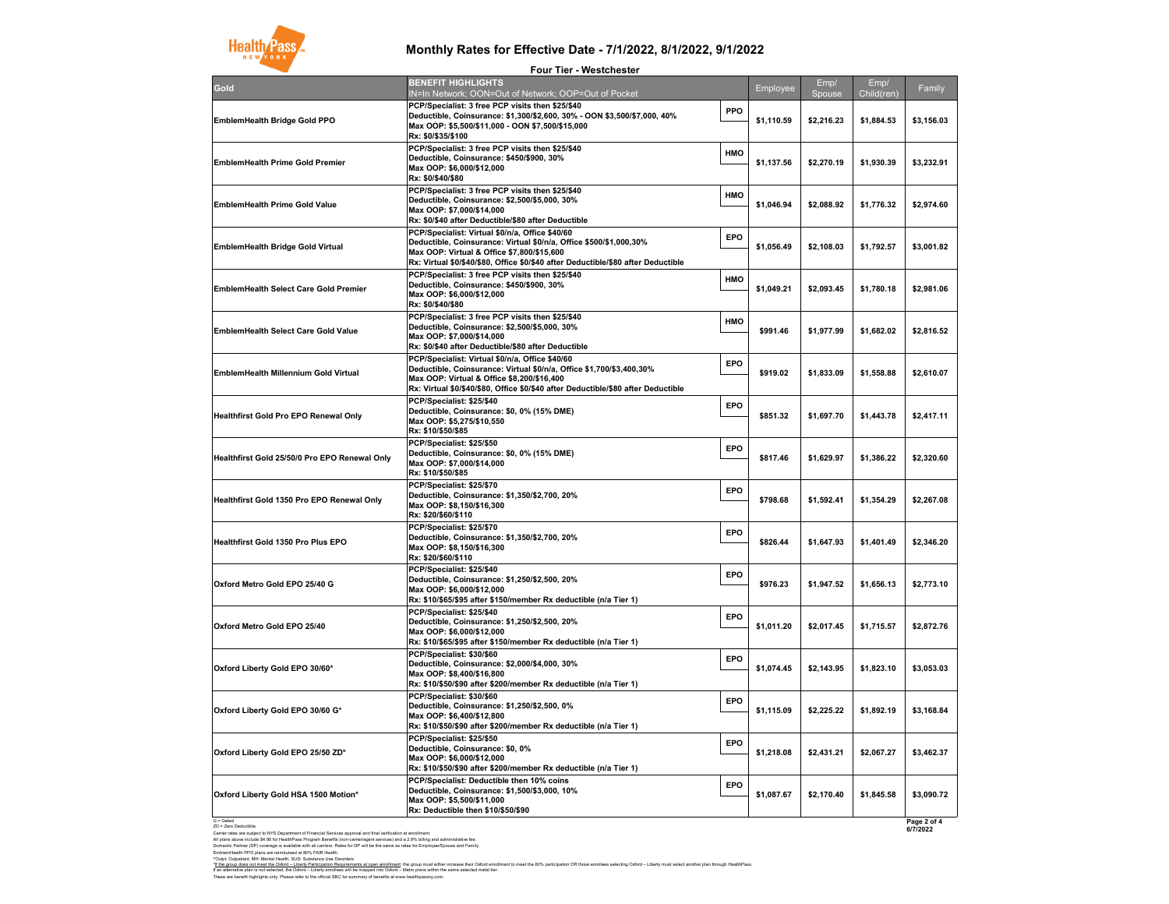

|                                                                                                                                                       | <b>Four Tier - Westchester</b>                                                                                                                                                                                                                             |     |            |                |                    |                         |
|-------------------------------------------------------------------------------------------------------------------------------------------------------|------------------------------------------------------------------------------------------------------------------------------------------------------------------------------------------------------------------------------------------------------------|-----|------------|----------------|--------------------|-------------------------|
| Gold                                                                                                                                                  | <b>BENEFIT HIGHLIGHTS</b><br>IN=In Network; OON=Out of Network; OOP=Out of Pocket                                                                                                                                                                          |     | Employee   | Emp/<br>Spouse | Emp/<br>Child(ren) | Family                  |
| EmblemHealth Bridge Gold PPO                                                                                                                          | PCP/Specialist: 3 free PCP visits then \$25/\$40<br>Deductible, Coinsurance: \$1,300/\$2,600, 30% - OON \$3,500/\$7,000, 40%<br>Max OOP: \$5,500/\$11,000 - OON \$7,500/\$15,000<br>Rx: \$0/\$35/\$100                                                     | PPO | \$1,110.59 | \$2,216.23     | \$1,884.53         | \$3,156.03              |
| <b>EmblemHealth Prime Gold Premier</b>                                                                                                                | PCP/Specialist: 3 free PCP visits then \$25/\$40<br>Deductible, Coinsurance: \$450/\$900, 30%<br>Max OOP: \$6.000/\$12.000<br>Rx: \$0/\$40/\$80                                                                                                            | HMO | \$1,137.56 | \$2,270.19     | \$1,930.39         | \$3,232.91              |
| <b>EmblemHealth Prime Gold Value</b>                                                                                                                  | PCP/Specialist: 3 free PCP visits then \$25/\$40<br>Deductible, Coinsurance: \$2,500/\$5,000, 30%<br>Max OOP: \$7,000/\$14,000<br>Rx: \$0/\$40 after Deductible/\$80 after Deductible                                                                      | HMO | \$1,046.94 | \$2,088.92     | \$1,776.32         | \$2,974.60              |
| <b>EmblemHealth Bridge Gold Virtual</b>                                                                                                               | PCP/Specialist: Virtual \$0/n/a, Office \$40/60<br>Deductible, Coinsurance: Virtual \$0/n/a, Office \$500/\$1,000,30%<br>Max OOP: Virtual & Office \$7,800/\$15,600<br>Rx: Virtual \$0/\$40/\$80, Office \$0/\$40 after Deductible/\$80 after Deductible   | EPO | \$1,056.49 | \$2,108.03     | \$1,792.57         | \$3,001.82              |
| <b>EmblemHealth Select Care Gold Premier</b>                                                                                                          | PCP/Specialist: 3 free PCP visits then \$25/\$40<br>Deductible, Coinsurance: \$450/\$900, 30%<br>Max OOP: \$6,000/\$12,000<br>Rx: \$0/\$40/\$80                                                                                                            | HMO | \$1,049.21 | \$2,093.45     | \$1,780.18         | \$2,981.06              |
| <b>EmblemHealth Select Care Gold Value</b>                                                                                                            | PCP/Specialist: 3 free PCP visits then \$25/\$40<br>Deductible, Coinsurance: \$2,500/\$5,000, 30%<br>Max OOP: \$7,000/\$14,000<br>Rx: \$0/\$40 after Deductible/\$80 after Deductible                                                                      | HMO | \$991.46   | \$1,977.99     | \$1,682.02         | \$2,816.52              |
| EmblemHealth Millennium Gold Virtual                                                                                                                  | PCP/Specialist: Virtual \$0/n/a, Office \$40/60<br>Deductible, Coinsurance: Virtual \$0/n/a, Office \$1,700/\$3,400,30%<br>Max OOP: Virtual & Office \$8,200/\$16,400<br>Rx: Virtual \$0/\$40/\$80, Office \$0/\$40 after Deductible/\$80 after Deductible | EPO | \$919.02   | \$1,833.09     | \$1,558.88         | \$2,610.07              |
| <b>Healthfirst Gold Pro EPO Renewal Only</b>                                                                                                          | PCP/Specialist: \$25/\$40<br>Deductible, Coinsurance: \$0, 0% (15% DME)<br>Max OOP: \$5,275/\$10,550<br>Rx: \$10/\$50/\$85                                                                                                                                 | EPO | \$851.32   | \$1,697.70     | \$1,443.78         | \$2,417.11              |
| Healthfirst Gold 25/50/0 Pro EPO Renewal Only                                                                                                         | PCP/Specialist: \$25/\$50<br>Deductible, Coinsurance: \$0, 0% (15% DME)<br>Max OOP: \$7,000/\$14,000<br>Rx: \$10/\$50/\$85                                                                                                                                 | EPO | \$817.46   | \$1.629.97     | \$1,386.22         | \$2,320.60              |
| Healthfirst Gold 1350 Pro EPO Renewal Only                                                                                                            | PCP/Specialist: \$25/\$70<br>Deductible, Coinsurance: \$1,350/\$2,700, 20%<br>Max OOP: \$8,150/\$16,300<br>Rx: \$20/\$60/\$110                                                                                                                             | EPO | \$798.68   | \$1,592.41     | \$1,354.29         | \$2,267.08              |
| Healthfirst Gold 1350 Pro Plus EPO                                                                                                                    | PCP/Specialist: \$25/\$70<br>Deductible, Coinsurance: \$1,350/\$2,700, 20%<br>Max OOP: \$8,150/\$16,300<br>Rx: \$20/\$60/\$110                                                                                                                             | EPO | \$826.44   | \$1,647.93     | \$1,401.49         | \$2,346.20              |
| Oxford Metro Gold EPO 25/40 G                                                                                                                         | PCP/Specialist: \$25/\$40<br>Deductible, Coinsurance: \$1,250/\$2,500, 20%<br>Max OOP: \$6,000/\$12,000<br>Rx: \$10/\$65/\$95 after \$150/member Rx deductible (n/a Tier 1)                                                                                | EPO | \$976.23   | \$1,947.52     | \$1,656.13         | \$2,773.10              |
| Oxford Metro Gold EPO 25/40                                                                                                                           | PCP/Specialist: \$25/\$40<br>Deductible, Coinsurance: \$1,250/\$2,500, 20%<br>Max OOP: \$6,000/\$12,000<br>Rx: \$10/\$65/\$95 after \$150/member Rx deductible (n/a Tier 1)                                                                                | EPO | \$1,011.20 | \$2,017.45     | \$1,715.57         | \$2,872.76              |
| Oxford Liberty Gold EPO 30/60*                                                                                                                        | PCP/Specialist: \$30/\$60<br>Deductible, Coinsurance: \$2,000/\$4,000, 30%<br>Max OOP: \$8,400/\$16,800<br>Rx: \$10/\$50/\$90 after \$200/member Rx deductible (n/a Tier 1)                                                                                | EPO | \$1,074.45 | \$2,143.95     | \$1,823.10         | \$3.053.03              |
| Oxford Liberty Gold EPO 30/60 G*                                                                                                                      | PCP/Specialist: \$30/\$60<br>Deductible, Coinsurance: \$1,250/\$2,500, 0%<br>Max OOP: \$6,400/\$12,800<br>Rx: \$10/\$50/\$90 after \$200/member Rx deductible (n/a Tier 1)                                                                                 | EPO | \$1,115.09 | \$2.225.22     | \$1,892.19         | \$3.168.84              |
| Oxford Liberty Gold EPO 25/50 ZD*                                                                                                                     | PCP/Specialist: \$25/\$50<br>Deductible, Coinsurance: \$0, 0%<br>Max OOP: \$6,000/\$12,000<br>Rx: \$10/\$50/\$90 after \$200/member Rx deductible (n/a Tier 1)                                                                                             | EPO | \$1,218.08 | \$2,431.21     | \$2,067.27         | \$3,462.37              |
| Oxford Liberty Gold HSA 1500 Motion*                                                                                                                  | PCP/Specialist: Deductible then 10% coins<br>Deductible, Coinsurance: \$1,500/\$3,000, 10%<br>Max OOP: \$5,500/\$11,000<br>Rx: Deductible then \$10/\$50/\$90                                                                                              | EPO | \$1,087.67 | \$2,170.40     | \$1,845.58         | \$3,090.72              |
| $G =$ Gated<br>ZD = Zero Deductibl<br>Carrier rates are subject to NYS Department of Financial Services approval and final verification at enrollment |                                                                                                                                                                                                                                                            |     |            |                |                    | Page 2 of 4<br>6/7/2022 |

Carler rates are subject to WS Department of Francial Services approval and frast wetfication at envoltinent.<br>All plane above include \$4.95 for HealthPass Program Benefits (non-carrieringerit services) and a 2.9% tailing a

"If the group does not meet the Odord – Liberty Participation Requirements at open enrollment the group must ether increase their of order on the fol% participation OR those enrollees selecting Odord – Liberty must select

These are benefit highlights only. Please refer to the official SBC for summary of benefits at www.healthpassny.com.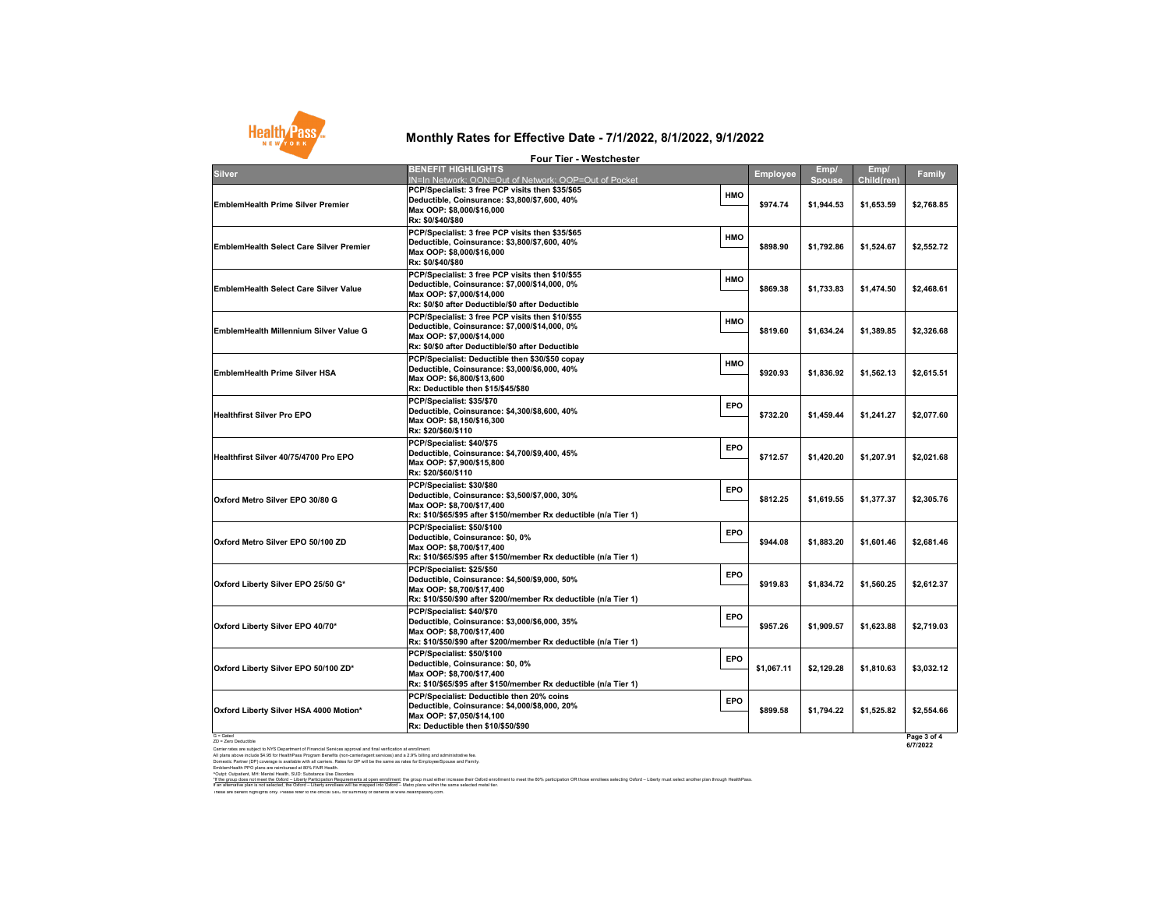

| <b>Four Tier - Westchester</b>                 |                                                                                                                                                                                        |     |                      |                                           |                                        |                          |  |
|------------------------------------------------|----------------------------------------------------------------------------------------------------------------------------------------------------------------------------------------|-----|----------------------|-------------------------------------------|----------------------------------------|--------------------------|--|
| <b>Silver</b>                                  | <b>BENEFIT HIGHLIGHTS</b>                                                                                                                                                              |     | <b>Employee</b>      | Emp/                                      | Emp/                                   | Family                   |  |
| <b>EmblemHealth Prime Silver Premier</b>       | IN=In Network: OON=Out of Network: OOP=Out of Pocket<br>PCP/Specialist: 3 free PCP visits then \$35/\$65<br>Deductible, Coinsurance: \$3,800/\$7,600, 40%<br>Max OOP: \$8,000/\$16,000 | HMO | \$974.74<br>\$898.90 | <b>Spouse</b><br>\$1.944.53<br>\$1.792.86 | Child(ren)<br>\$1,653.59<br>\$1,524.67 | \$2,768.85<br>\$2,552.72 |  |
|                                                | Rx: \$0/\$40/\$80<br>PCP/Specialist: 3 free PCP visits then \$35/\$65                                                                                                                  | HMO |                      |                                           |                                        |                          |  |
| <b>EmblemHealth Select Care Silver Premier</b> | Deductible, Coinsurance: \$3,800/\$7,600, 40%<br>Max OOP: \$8,000/\$16,000<br>Rx: \$0/\$40/\$80                                                                                        |     |                      |                                           |                                        |                          |  |
| <b>EmblemHealth Select Care Silver Value</b>   | PCP/Specialist: 3 free PCP visits then \$10/\$55<br>Deductible, Coinsurance: \$7,000/\$14,000, 0%<br>Max OOP: \$7,000/\$14,000<br>Rx: \$0/\$0 after Deductible/\$0 after Deductible    | HMO | \$869.38             | \$1,733.83                                | \$1,474.50                             | \$2,468.61               |  |
| EmblemHealth Millennium Silver Value G         | PCP/Specialist: 3 free PCP visits then \$10/\$55<br>Deductible, Coinsurance: \$7,000/\$14,000, 0%<br>Max OOP: \$7,000/\$14,000<br>Rx: \$0/\$0 after Deductible/\$0 after Deductible    | HMO | \$819.60             | \$1.634.24                                | \$1,389.85                             | \$2,326.68               |  |
| <b>EmblemHealth Prime Silver HSA</b>           | PCP/Specialist: Deductible then \$30/\$50 copay<br>Deductible, Coinsurance: \$3,000/\$6,000, 40%<br>Max OOP: \$6.800/\$13.600<br>Rx: Deductible then \$15/\$45/\$80                    | HMO | \$920.93             | \$1,836.92                                | \$1,562.13                             | \$2,615.51               |  |
| <b>Healthfirst Silver Pro EPO</b>              | PCP/Specialist: \$35/\$70<br>Deductible, Coinsurance: \$4,300/\$8,600, 40%<br>Max OOP: \$8,150/\$16,300<br>Rx: \$20/\$60/\$110                                                         | EPO | \$732.20             | \$1,459.44                                | \$1,241.27                             | \$2,077.60               |  |
| Healthfirst Silver 40/75/4700 Pro EPO          | PCP/Specialist: \$40/\$75<br>Deductible, Coinsurance: \$4,700/\$9,400, 45%<br>Max OOP: \$7,900/\$15,800<br>Rx: \$20/\$60/\$110                                                         | EPO | \$712.57             | \$1,420.20                                | \$1,207.91                             | \$2,021.68               |  |
| Oxford Metro Silver EPO 30/80 G                | PCP/Specialist: \$30/\$80<br>Deductible, Coinsurance: \$3,500/\$7,000, 30%<br>Max OOP: \$8,700/\$17,400<br>Rx: \$10/\$65/\$95 after \$150/member Rx deductible (n/a Tier 1)            | EPO | \$812.25             | \$1,619.55                                | \$1,377.37                             | \$2,305.76               |  |
| Oxford Metro Silver EPO 50/100 ZD              | PCP/Specialist: \$50/\$100<br>Deductible, Coinsurance: \$0, 0%<br>Max OOP: \$8,700/\$17,400<br>Rx: \$10/\$65/\$95 after \$150/member Rx deductible (n/a Tier 1)                        | EPO | \$944.08             | \$1.883.20                                | \$1.601.46                             | \$2,681.46               |  |
| Oxford Liberty Silver EPO 25/50 G*             | PCP/Specialist: \$25/\$50<br>Deductible, Coinsurance: \$4,500/\$9,000, 50%<br>Max OOP: \$8,700/\$17,400<br>Rx: \$10/\$50/\$90 after \$200/member Rx deductible (n/a Tier 1)            | EPO | \$919.83             | \$1.834.72                                | \$1,560.25                             | \$2,612.37               |  |
| Oxford Liberty Silver EPO 40/70*               | PCP/Specialist: \$40/\$70<br>Deductible, Coinsurance: \$3,000/\$6,000, 35%<br>Max OOP: \$8,700/\$17,400<br>Rx: \$10/\$50/\$90 after \$200/member Rx deductible (n/a Tier 1)            | EPO | \$957.26             | \$1.909.57                                | \$1,623.88                             | \$2,719.03               |  |
| Oxford Liberty Silver EPO 50/100 ZD*           | PCP/Specialist: \$50/\$100<br>Deductible, Coinsurance: \$0, 0%<br>Max OOP: \$8,700/\$17,400<br>Rx: \$10/\$65/\$95 after \$150/member Rx deductible (n/a Tier 1)                        | EPO | \$1,067.11           | \$2,129.28                                | \$1,810.63                             | \$3,032.12               |  |
| Oxford Liberty Silver HSA 4000 Motion*         | PCP/Specialist: Deductible then 20% coins<br>Deductible, Coinsurance: \$4,000/\$8,000, 20%<br>Max OOP: \$7,050/\$14,100<br>Rx: Deductible then \$10/\$50/\$90                          | EPO | \$899.58             | \$1,794.22                                | \$1,525.82                             | \$2,554.66               |  |

G = Gated<br>Carler rates are subject to NYS Department of Financial Services approval and final verification at enrolment.<br>All plans above include \$4.95 for HealthPass Program Benefits (non-carrieringent services) and a 2.9%

rOugheri, Mr. Merial Helli, SUD, Substract Me Blooders<br>I an allematic planned and the Substract Mericule in all computations and the formal the formal that meet the 60% participation OR those entities selecting Oxford – Li

These are benefit highlights only. Please refer to the official SBC for summary of benefits at www.healthpassny.com.

**Page 3 of 4 6/7/2022**